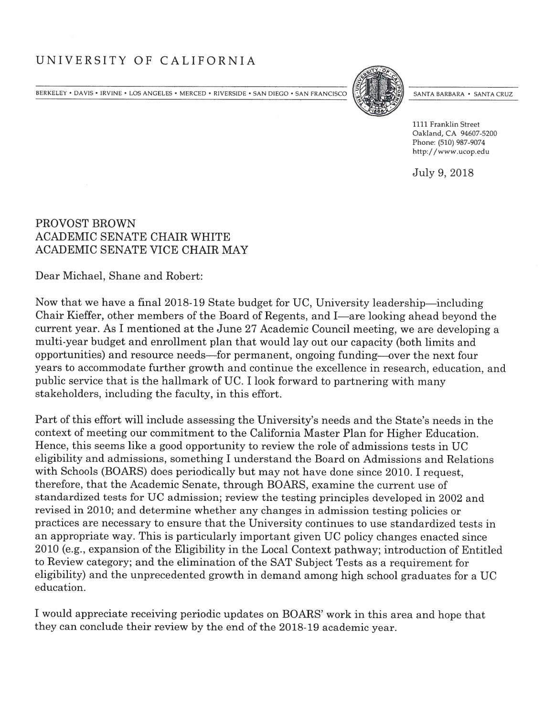## UNIVERSITY OF CALIFORNIA

BERKELEY • DAVIS • IRVINE • LOS ANGELES • MERCED • RIVERSIDE • SAN DIEGO • SAN FRANCISCO (SANTA BARBARA • SANTA BARBARA • SANTA CRUZ



1111 Franklin Street Oakland, CA 94607-5200 Phone: (510) 987-9074 http://www.ucop.edu

July 9, 2018

## PROVOST BROWN ACADEMIC SENATE CHAIR WHITE ACADEMIC SENATE VICE CHAIR MAY

Dear Michael, Shane and Robert:

Now that we have a final 2018-19 State budget for UC, University leadership—including Chair Kieffer, other members of the Board of Regents, and I—are looking ahead beyond the current year. As I mentioned at the June 27 Academic Council meeting, we are developing a multi-year budget and enrollment plan that would lay out our capacity (both limits and opportunities) and resource needs—for permanent, ongoing funding—over the next four years to accommodate further growth and continue the excellence in research, education, and public service that is the hallmark of UC. I look forward to partnering with many stakeholders, including the faculty, in this effort.

Part of this effort will include assessing the University's needs and the State's needs in the context of meeting our commitment to the California Master Plan for Higher Education. Hence, this seems like a good opportunity to review the role of admissions tests in UC eligibility and admissions, something I understand the Board on Admissions and Relations with Schools (BOARS) does periodically but may not have done since 2010. I request, therefore, that the Academic Senate, through BOARS, examine the current use of standardized tests for UC admission; review the testing principles developed in 2002 and revised in 2010; and determine whether any changes in admission testing policies or practices are necessary to ensure that the University continues to use standardized tests in an appropriate way. This is particularly important given UC policy changes enacted since 2010 (e.g., expansion of the Eligibility in the Local Context pathway; introduction of Entitled to Review category; and the elimination of the SAT Subject Tests as a requirement for eligibility) and the unprecedented growth in demand among high school graduates for a UC education.

<sup>I</sup> would appreciate receiving periodic updates on BOARS' work in this area and hope that they can conclude their review by the end of the 2018-19 academic year.